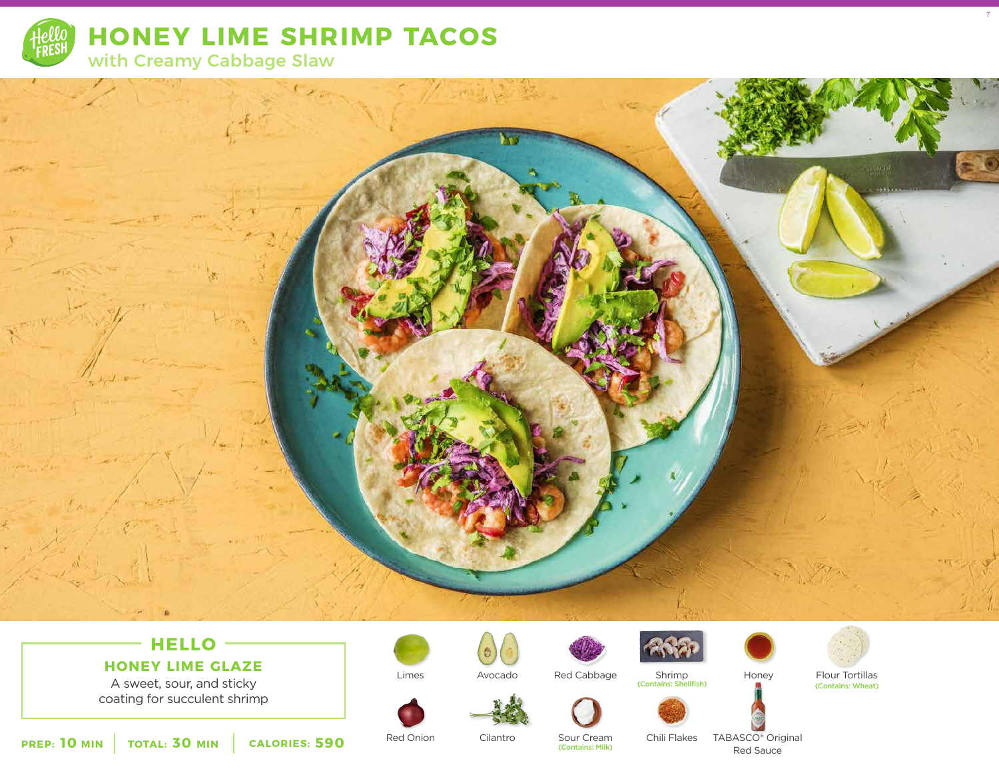

# **HELLO**

### **HONEY LIME GLAZE**

A sweet, sour, and sticky coating for succulent shrimp





Shrimp Red Cabbage Shrimp Honey Flour Tortillas (Contains: Shellfish)



7



Limes

Cilantro



Chili Flakes

(Contains: Wheat)

**10** MIN | TOTAL: 30 MIN | CALORIES: 590

Red Onion

(Contains: Milk)

TABASCO® Original Red Sauce